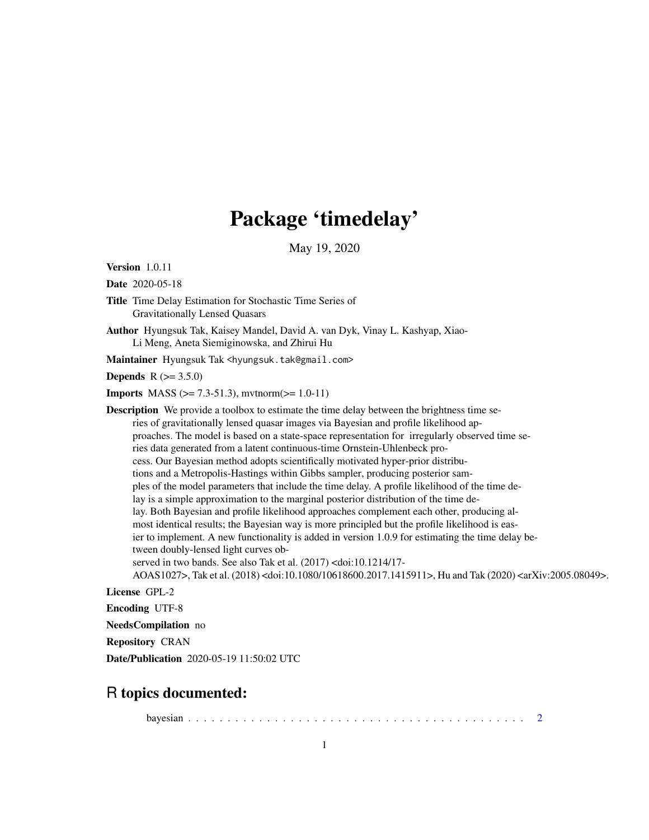## Package 'timedelay'

May 19, 2020

Version 1.0.11

Date 2020-05-18

- Title Time Delay Estimation for Stochastic Time Series of Gravitationally Lensed Quasars
- Author Hyungsuk Tak, Kaisey Mandel, David A. van Dyk, Vinay L. Kashyap, Xiao-Li Meng, Aneta Siemiginowska, and Zhirui Hu

Maintainer Hyungsuk Tak <hyungsuk.tak@gmail.com>

**Depends** R  $(>= 3.5.0)$ 

**Imports** MASS ( $>= 7.3-51.3$ ), mytnorm( $>= 1.0-11$ )

Description We provide a toolbox to estimate the time delay between the brightness time series of gravitationally lensed quasar images via Bayesian and profile likelihood approaches. The model is based on a state-space representation for irregularly observed time series data generated from a latent continuous-time Ornstein-Uhlenbeck process. Our Bayesian method adopts scientifically motivated hyper-prior distributions and a Metropolis-Hastings within Gibbs sampler, producing posterior samples of the model parameters that include the time delay. A profile likelihood of the time delay is a simple approximation to the marginal posterior distribution of the time delay. Both Bayesian and profile likelihood approaches complement each other, producing almost identical results; the Bayesian way is more principled but the profile likelihood is easier to implement. A new functionality is added in version 1.0.9 for estimating the time delay between doubly-lensed light curves observed in two bands. See also Tak et al. (2017) <doi:10.1214/17- AOAS1027>, Tak et al. (2018) <doi:10.1080/10618600.2017.1415911>, Hu and Tak (2020) <arXiv:2005.08049>. License GPL-2

Encoding UTF-8

NeedsCompilation no

Repository CRAN

Date/Publication 2020-05-19 11:50:02 UTC

### R topics documented:

bayesian . . . . . . . . . . . . . . . . . . . . . . . . . . . . . . . . . . . . . . . . . . . [2](#page-1-0)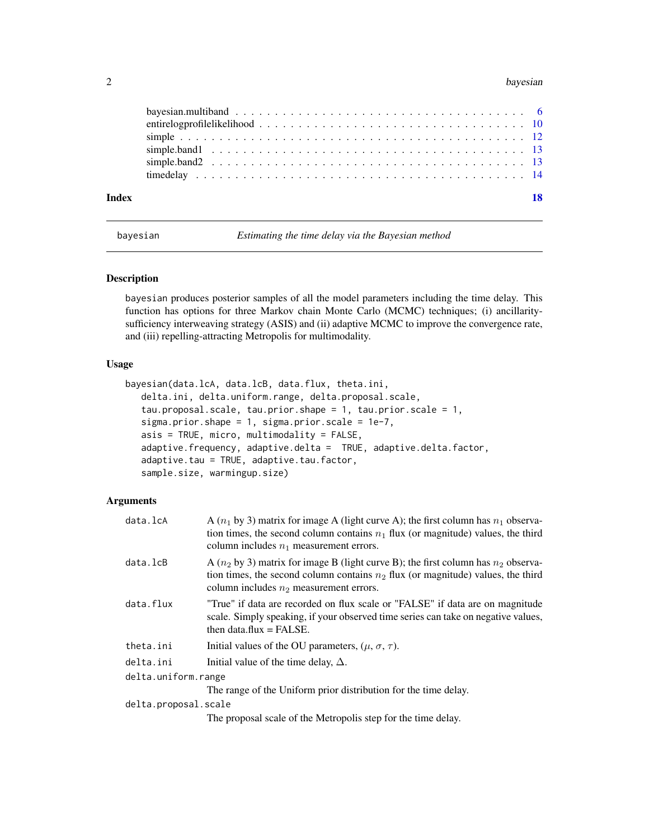<span id="page-1-0"></span>

<span id="page-1-1"></span>bayesian *Estimating the time delay via the Bayesian method*

#### Description

bayesian produces posterior samples of all the model parameters including the time delay. This function has options for three Markov chain Monte Carlo (MCMC) techniques; (i) ancillaritysufficiency interweaving strategy (ASIS) and (ii) adaptive MCMC to improve the convergence rate, and (iii) repelling-attracting Metropolis for multimodality.

#### Usage

```
bayesian(data.lcA, data.lcB, data.flux, theta.ini,
   delta.ini, delta.uniform.range, delta.proposal.scale,
   tau.proposal.scale, tau.prior.shape = 1, tau.prior.scale = 1,
   sigma.prior.shape = 1, sigma.prior.scale = 1e-7,
   asis = TRUE, micro, multimodality = FALSE,
   adaptive.frequency, adaptive.delta = TRUE, adaptive.delta.factor,
   adaptive.tau = TRUE, adaptive.tau.factor,
   sample.size, warmingup.size)
```
#### Arguments

| data.lcA             | A $(n_1$ by 3) matrix for image A (light curve A); the first column has $n_1$ observa-<br>tion times, the second column contains $n_1$ flux (or magnitude) values, the third<br>column includes $n_1$ measurement errors. |
|----------------------|---------------------------------------------------------------------------------------------------------------------------------------------------------------------------------------------------------------------------|
| data.lcB             | A $(n_2$ by 3) matrix for image B (light curve B); the first column has $n_2$ observa-<br>tion times, the second column contains $n_2$ flux (or magnitude) values, the third<br>column includes $n_2$ measurement errors. |
| data.flux            | "True" if data are recorded on flux scale or "FALSE" if data are on magnitude<br>scale. Simply speaking, if your observed time series can take on negative values,<br>then data.flux $=$ FALSE.                           |
| theta.ini            | Initial values of the OU parameters, $(\mu, \sigma, \tau)$ .                                                                                                                                                              |
| delta.ini            | Initial value of the time delay, $\Delta$ .                                                                                                                                                                               |
| delta.uniform.range  |                                                                                                                                                                                                                           |
|                      | The range of the Uniform prior distribution for the time delay.                                                                                                                                                           |
| delta.proposal.scale |                                                                                                                                                                                                                           |
|                      | The proposal scale of the Metropolis step for the time delay.                                                                                                                                                             |
|                      |                                                                                                                                                                                                                           |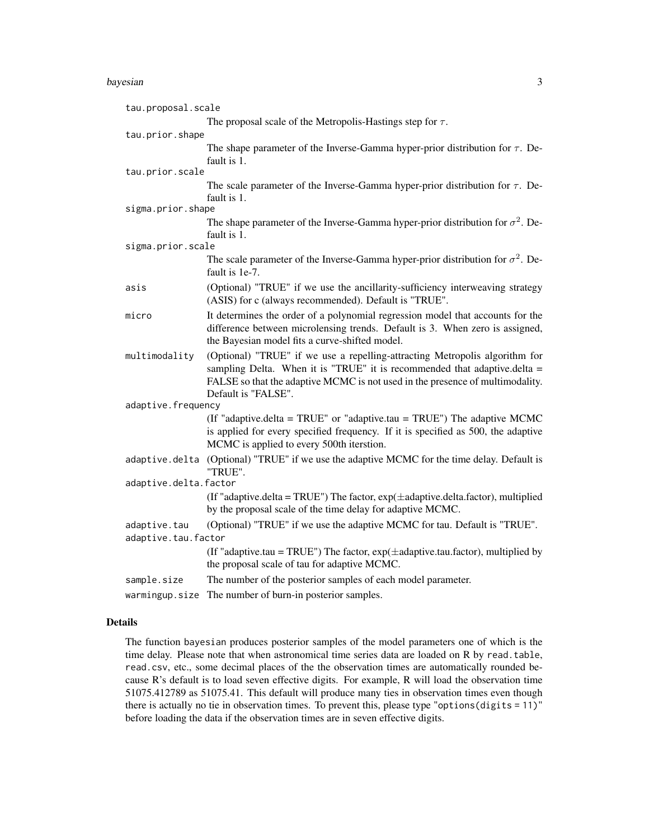| tau.proposal.scale    |                                                                                                                                                                                                                                                                    |
|-----------------------|--------------------------------------------------------------------------------------------------------------------------------------------------------------------------------------------------------------------------------------------------------------------|
|                       | The proposal scale of the Metropolis-Hastings step for $\tau$ .                                                                                                                                                                                                    |
| tau.prior.shape       |                                                                                                                                                                                                                                                                    |
|                       | The shape parameter of the Inverse-Gamma hyper-prior distribution for $\tau$ . De-<br>fault is 1.                                                                                                                                                                  |
| tau.prior.scale       |                                                                                                                                                                                                                                                                    |
|                       | The scale parameter of the Inverse-Gamma hyper-prior distribution for $\tau$ . De-<br>fault is 1.                                                                                                                                                                  |
| sigma.prior.shape     |                                                                                                                                                                                                                                                                    |
|                       | The shape parameter of the Inverse-Gamma hyper-prior distribution for $\sigma^2$ . De-<br>fault is 1.                                                                                                                                                              |
| sigma.prior.scale     |                                                                                                                                                                                                                                                                    |
|                       | The scale parameter of the Inverse-Gamma hyper-prior distribution for $\sigma^2$ . De-<br>fault is 1e-7.                                                                                                                                                           |
| asis                  | (Optional) "TRUE" if we use the ancillarity-sufficiency interweaving strategy<br>(ASIS) for c (always recommended). Default is "TRUE".                                                                                                                             |
| micro                 | It determines the order of a polynomial regression model that accounts for the<br>difference between microlensing trends. Default is 3. When zero is assigned,<br>the Bayesian model fits a curve-shifted model.                                                   |
| multimodality         | (Optional) "TRUE" if we use a repelling-attracting Metropolis algorithm for<br>sampling Delta. When it is "TRUE" it is recommended that adaptive.delta $=$<br>FALSE so that the adaptive MCMC is not used in the presence of multimodality.<br>Default is "FALSE". |
| adaptive.frequency    |                                                                                                                                                                                                                                                                    |
|                       | (If "adaptive.delta = TRUE" or "adaptive.tau = TRUE") The adaptive MCMC<br>is applied for every specified frequency. If it is specified as 500, the adaptive<br>MCMC is applied to every 500th iterstion.                                                          |
| adaptive.delta        | (Optional) "TRUE" if we use the adaptive MCMC for the time delay. Default is<br>"TRUE".                                                                                                                                                                            |
| adaptive.delta.factor |                                                                                                                                                                                                                                                                    |
|                       | (If "adaptive.delta = TRUE") The factor, $exp(\pm adaptive.deltafactor)$ , multiplied<br>by the proposal scale of the time delay for adaptive MCMC.                                                                                                                |
| adaptive.tau          | (Optional) "TRUE" if we use the adaptive MCMC for tau. Default is "TRUE".                                                                                                                                                                                          |
| adaptive.tau.factor   |                                                                                                                                                                                                                                                                    |
|                       | (If "adaptive.tau = TRUE") The factor, $exp(\pm adaptive.tau.factor)$ , multiplied by<br>the proposal scale of tau for adaptive MCMC.                                                                                                                              |
| sample.size           | The number of the posterior samples of each model parameter.                                                                                                                                                                                                       |
| warmingup.size        | The number of burn-in posterior samples.                                                                                                                                                                                                                           |

#### Details

The function bayesian produces posterior samples of the model parameters one of which is the time delay. Please note that when astronomical time series data are loaded on R by read.table, read.csv, etc., some decimal places of the the observation times are automatically rounded because R's default is to load seven effective digits. For example, R will load the observation time 51075.412789 as 51075.41. This default will produce many ties in observation times even though there is actually no tie in observation times. To prevent this, please type "options(digits = 11)" before loading the data if the observation times are in seven effective digits.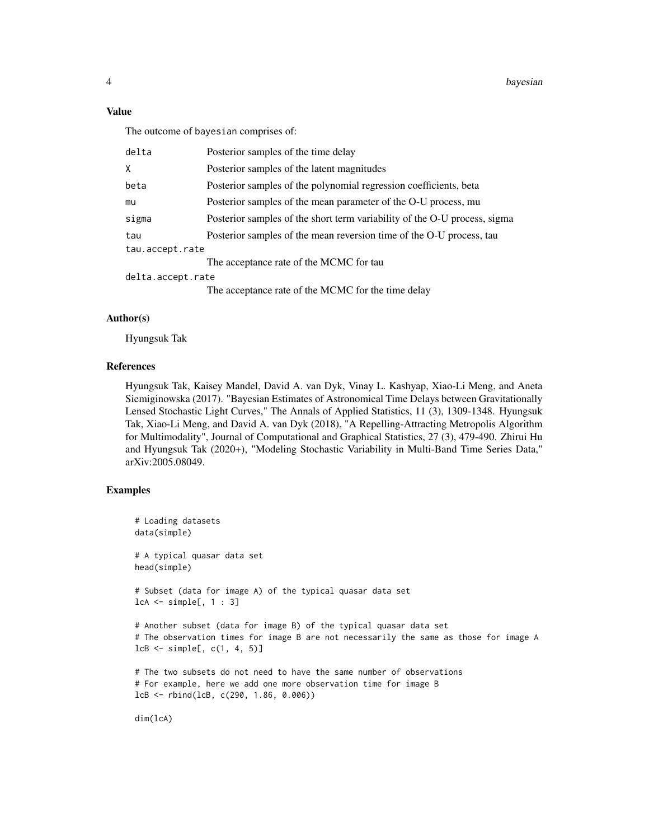#### Value

The outcome of bayesian comprises of:

| delta             | Posterior samples of the time delay                                       |
|-------------------|---------------------------------------------------------------------------|
| Χ                 | Posterior samples of the latent magnitudes                                |
| beta              | Posterior samples of the polynomial regression coefficients, beta         |
| mu                | Posterior samples of the mean parameter of the O-U process, mu            |
| sigma             | Posterior samples of the short term variability of the O-U process, sigma |
| tau               | Posterior samples of the mean reversion time of the O-U process, tau      |
| tau.accept.rate   |                                                                           |
|                   | The acceptance rate of the MCMC for tau                                   |
| delta.accept.rate |                                                                           |
|                   | The acceptance rate of the MCMC for the time delay                        |

#### Author(s)

Hyungsuk Tak

#### References

Hyungsuk Tak, Kaisey Mandel, David A. van Dyk, Vinay L. Kashyap, Xiao-Li Meng, and Aneta Siemiginowska (2017). "Bayesian Estimates of Astronomical Time Delays between Gravitationally Lensed Stochastic Light Curves," The Annals of Applied Statistics, 11 (3), 1309-1348. Hyungsuk Tak, Xiao-Li Meng, and David A. van Dyk (2018), "A Repelling-Attracting Metropolis Algorithm for Multimodality", Journal of Computational and Graphical Statistics, 27 (3), 479-490. Zhirui Hu and Hyungsuk Tak (2020+), "Modeling Stochastic Variability in Multi-Band Time Series Data," arXiv:2005.08049.

#### Examples

```
# Loading datasets
data(simple)
# A typical quasar data set
head(simple)
# Subset (data for image A) of the typical quasar data set
lcA <- simple[, 1 : 3]
# Another subset (data for image B) of the typical quasar data set
# The observation times for image B are not necessarily the same as those for image A
lcB \leftarrow simple[, c(1, 4, 5)]# The two subsets do not need to have the same number of observations
# For example, here we add one more observation time for image B
lcB <- rbind(lcB, c(290, 1.86, 0.006))
```
dim(lcA)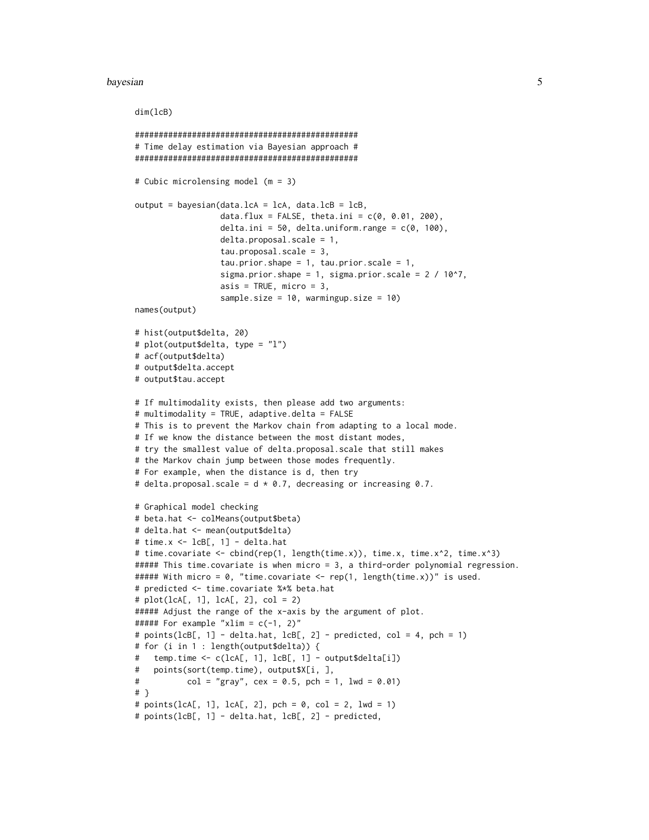#### dim(lcB)

```
###############################################
# Time delay estimation via Bayesian approach #
###############################################
# Cubic microlensing model (m = 3)
output = bayesian(data.lcA = lcA, data.lcB = lcB,
                  data.flux = FALSE, theta.ini = c(0, 0.01, 200),
                  delta.ini = 50, delta.uniform.range = c(0, 100),
                  delta.proposal.scale = 1,
                  tau.proposal.scale = 3,
                  tau.prior.shape = 1, tau.prior.scale = 1,
                  sigma.prior.shape = 1, sigma.prior.scale = 2 / 10^2,
                  asis = TRUE, micro = 3,
                  sample.size = 10, warmingup.size = 10)
names(output)
# hist(output$delta, 20)
# plot(output$delta, type = "l")
# acf(output$delta)
# output$delta.accept
# output$tau.accept
# If multimodality exists, then please add two arguments:
# multimodality = TRUE, adaptive.delta = FALSE
# This is to prevent the Markov chain from adapting to a local mode.
# If we know the distance between the most distant modes,
# try the smallest value of delta.proposal.scale that still makes
# the Markov chain jump between those modes frequently.
# For example, when the distance is d, then try
# delta.proposal.scale = d \times 0.7, decreasing or increasing 0.7.
# Graphical model checking
# beta.hat <- colMeans(output$beta)
# delta.hat <- mean(output$delta)
# time.x <- lcB[, 1] - delta.hat
# time.covariate <- cbind(rep(1, length(time.x)), time.x, time.x^2, time.x^3)
##### This time.covariate is when micro = 3, a third-order polynomial regression.
##### With micro = 0, "time.covariate <- rep(1, length(time.x))" is used.
# predicted <- time.covariate %*% beta.hat
# plot(lcA[, 1], lcA[, 2], col = 2)
##### Adjust the range of the x-axis by the argument of plot.
##### For example "xlim = c(-1, 2)"
# points(lcB[, 1] - delta.hat, lcB[, 2] - predicted, col = 4, pch = 1)
# for (i in 1 : length(output$delta)) {
# temp.time <- c(lcA[, 1], lcB[, 1] - output$delta[i])
# points(sort(temp.time), output$X[i, ],
# col = "gray", \text{cex} = 0.5, \text{pch} = 1, \text{lwd} = 0.01)# }
# points(lcA[, 1], lcA[, 2], pch = 0, col = 2, lwd = 1)# points(lcB[, 1] - delta.hat, lcB[, 2] - predicted,
```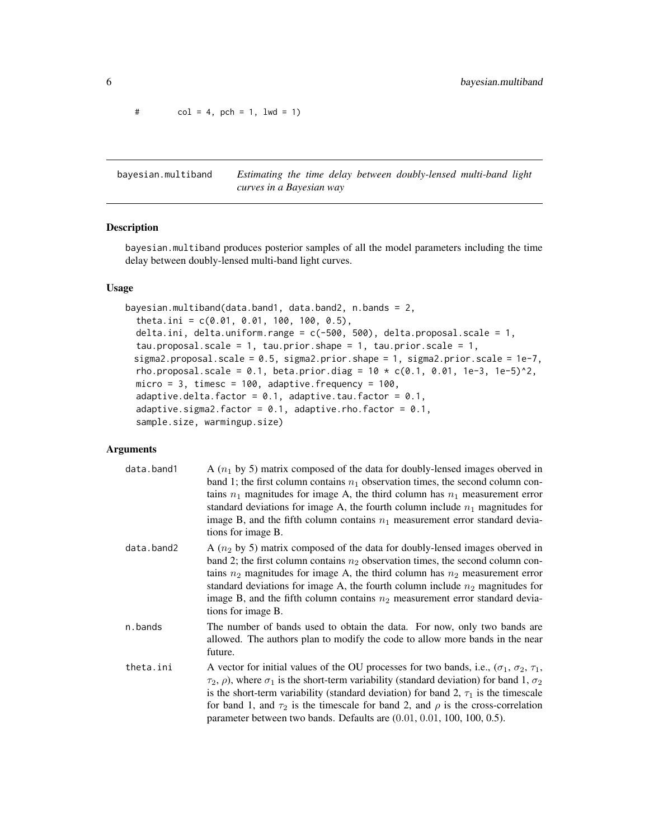<span id="page-5-0"></span> $# \qquad \text{col} = 4, \text{ pch} = 1, \text{ lwd} = 1)$ 

<span id="page-5-1"></span>bayesian.multiband *Estimating the time delay between doubly-lensed multi-band light curves in a Bayesian way*

#### Description

bayesian.multiband produces posterior samples of all the model parameters including the time delay between doubly-lensed multi-band light curves.

#### Usage

```
bayesian.multiband(data.band1, data.band2, n.bands = 2,
  theta.ini = c(0.01, 0.01, 100, 100, 0.5),
  delta.ini, delta.uniform.range = c(-500, 500), delta.proposal.scale = 1,
  tau.propsal.scale = 1, tau.prior.shape = 1, tau.prior.scale = 1,sigma2.proposal.scale = 0.5, sigma2.prior.shape = 1, sigma2.prior.scale = 1e-7,
 rho.proposal.scale = 0.1, beta.prior.diag = 10 \times c(0.1, 0.01, 1e-3, 1e-5)^2,
 micro = 3, timesc = 100, adaptive.frequency = 100,
 adaptive.delta.factor = 0.1, adaptive.tau.factor = 0.1,
  adaptive.sigma2.factor = 0.1, adaptive.rho.factor = 0.1,
  sample.size, warmingup.size)
```
#### Arguments

| data.band1 | A $(n_1$ by 5) matrix composed of the data for doubly-lensed images oberved in<br>band 1; the first column contains $n_1$ observation times, the second column con-<br>tains $n_1$ magnitudes for image A, the third column has $n_1$ measurement error<br>standard deviations for image A, the fourth column include $n_1$ magnitudes for<br>image B, and the fifth column contains $n_1$ measurement error standard devia-<br>tions for image B.                                                |
|------------|---------------------------------------------------------------------------------------------------------------------------------------------------------------------------------------------------------------------------------------------------------------------------------------------------------------------------------------------------------------------------------------------------------------------------------------------------------------------------------------------------|
| data.band2 | A $(n_2$ by 5) matrix composed of the data for doubly-lensed images oberved in<br>band 2; the first column contains $n_2$ observation times, the second column con-<br>tains $n_2$ magnitudes for image A, the third column has $n_2$ measurement error<br>standard deviations for image A, the fourth column include $n_2$ magnitudes for<br>image B, and the fifth column contains $n_2$ measurement error standard devia-<br>tions for image B.                                                |
| n.bands    | The number of bands used to obtain the data. For now, only two bands are<br>allowed. The authors plan to modify the code to allow more bands in the near<br>future.                                                                                                                                                                                                                                                                                                                               |
| theta.ini  | A vector for initial values of the OU processes for two bands, i.e., ( $\sigma_1$ , $\sigma_2$ , $\tau_1$ ,<br>$\tau_2$ , $\rho$ ), where $\sigma_1$ is the short-term variability (standard deviation) for band 1, $\sigma_2$<br>is the short-term variability (standard deviation) for band 2, $\tau_1$ is the timescale<br>for band 1, and $\tau_2$ is the timescale for band 2, and $\rho$ is the cross-correlation<br>parameter between two bands. Defaults are (0.01, 0.01, 100, 100, 0.5). |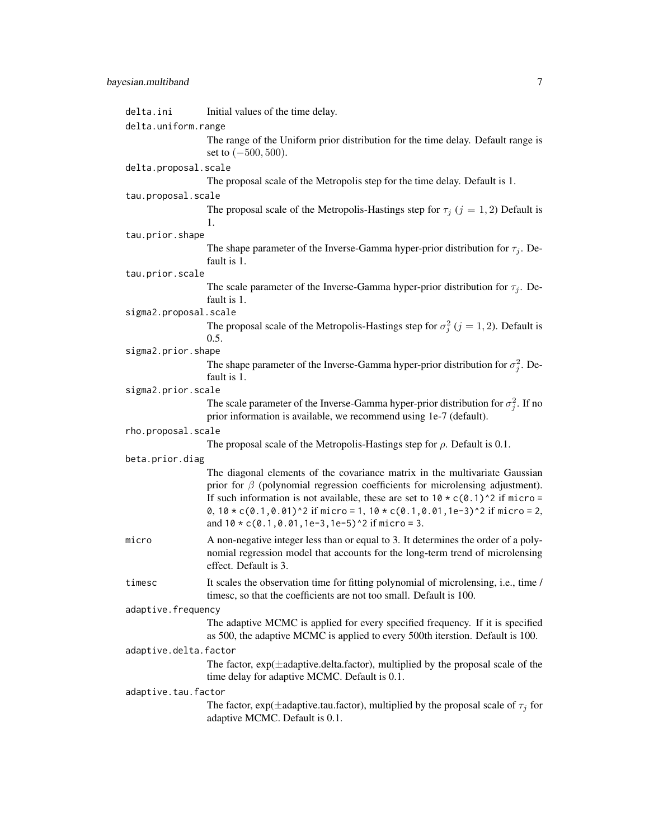| delta.ini             | Initial values of the time delay.                                                                                                                                                                                                                                                                                                                                                                                        |  |
|-----------------------|--------------------------------------------------------------------------------------------------------------------------------------------------------------------------------------------------------------------------------------------------------------------------------------------------------------------------------------------------------------------------------------------------------------------------|--|
| delta.uniform.range   |                                                                                                                                                                                                                                                                                                                                                                                                                          |  |
|                       | The range of the Uniform prior distribution for the time delay. Default range is<br>set to $(-500, 500)$ .                                                                                                                                                                                                                                                                                                               |  |
| delta.proposal.scale  |                                                                                                                                                                                                                                                                                                                                                                                                                          |  |
|                       | The proposal scale of the Metropolis step for the time delay. Default is 1.                                                                                                                                                                                                                                                                                                                                              |  |
| tau.proposal.scale    |                                                                                                                                                                                                                                                                                                                                                                                                                          |  |
|                       | The proposal scale of the Metropolis-Hastings step for $\tau_i$ ( $j = 1, 2$ ) Default is<br>1.                                                                                                                                                                                                                                                                                                                          |  |
| tau.prior.shape       |                                                                                                                                                                                                                                                                                                                                                                                                                          |  |
|                       | The shape parameter of the Inverse-Gamma hyper-prior distribution for $\tau_i$ . De-<br>fault is 1.                                                                                                                                                                                                                                                                                                                      |  |
| tau.prior.scale       |                                                                                                                                                                                                                                                                                                                                                                                                                          |  |
|                       | The scale parameter of the Inverse-Gamma hyper-prior distribution for $\tau_j$ . De-<br>fault is 1.                                                                                                                                                                                                                                                                                                                      |  |
| sigma2.proposal.scale |                                                                                                                                                                                                                                                                                                                                                                                                                          |  |
|                       | The proposal scale of the Metropolis-Hastings step for $\sigma_i^2$ ( $j = 1, 2$ ). Default is<br>0.5.                                                                                                                                                                                                                                                                                                                   |  |
| sigma2.prior.shape    |                                                                                                                                                                                                                                                                                                                                                                                                                          |  |
|                       | The shape parameter of the Inverse-Gamma hyper-prior distribution for $\sigma_i^2$ . De-<br>fault is 1.                                                                                                                                                                                                                                                                                                                  |  |
| sigma2.prior.scale    |                                                                                                                                                                                                                                                                                                                                                                                                                          |  |
|                       | The scale parameter of the Inverse-Gamma hyper-prior distribution for $\sigma_i^2$ . If no<br>prior information is available, we recommend using 1e-7 (default).                                                                                                                                                                                                                                                         |  |
| rho.proposal.scale    |                                                                                                                                                                                                                                                                                                                                                                                                                          |  |
|                       | The proposal scale of the Metropolis-Hastings step for $\rho$ . Default is 0.1.                                                                                                                                                                                                                                                                                                                                          |  |
| beta.prior.diag       |                                                                                                                                                                                                                                                                                                                                                                                                                          |  |
|                       | The diagonal elements of the covariance matrix in the multivariate Gaussian<br>prior for $\beta$ (polynomial regression coefficients for microlensing adjustment).<br>If such information is not available, these are set to $10 \times c(0.1)^2$ if micro =<br>0, $10 \times c(0.1, 0.01)$ ^2 if micro = 1, $10 \times c(0.1, 0.01, 1e-3)$ ^2 if micro = 2,<br>and $10 \times c(0.1, 0.01, 1e-3, 1e-5)^2$ if micro = 3. |  |
| micro                 | A non-negative integer less than or equal to 3. It determines the order of a poly-<br>nomial regression model that accounts for the long-term trend of microlensing<br>effect. Default is 3.                                                                                                                                                                                                                             |  |
| timesc                | It scales the observation time for fitting polynomial of microlensing, i.e., time /<br>timesc, so that the coefficients are not too small. Default is 100.                                                                                                                                                                                                                                                               |  |
| adaptive.frequency    |                                                                                                                                                                                                                                                                                                                                                                                                                          |  |
|                       | The adaptive MCMC is applied for every specified frequency. If it is specified<br>as 500, the adaptive MCMC is applied to every 500th iterstion. Default is 100.                                                                                                                                                                                                                                                         |  |
| adaptive.delta.factor |                                                                                                                                                                                                                                                                                                                                                                                                                          |  |
|                       | The factor, $exp(\pm adaptive.delta.factor)$ , multiplied by the proposal scale of the<br>time delay for adaptive MCMC. Default is 0.1.                                                                                                                                                                                                                                                                                  |  |
| adaptive.tau.factor   |                                                                                                                                                                                                                                                                                                                                                                                                                          |  |
|                       | The factor, $exp(\pm adaptive.tau.factor)$ , multiplied by the proposal scale of $\tau_i$ for<br>adaptive MCMC. Default is 0.1.                                                                                                                                                                                                                                                                                          |  |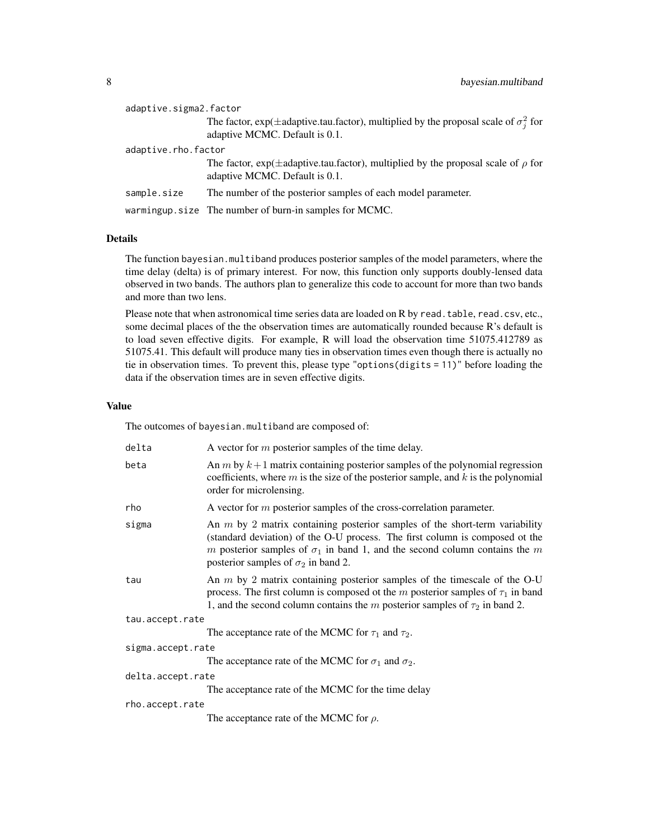|                     | adaptive.sigma2.factor |                                                                                                                                     |
|---------------------|------------------------|-------------------------------------------------------------------------------------------------------------------------------------|
|                     |                        | The factor, $exp(\pm adaptive.tau.factor)$ , multiplied by the proposal scale of $\sigma_i^2$ for<br>adaptive MCMC. Default is 0.1. |
| adaptive.rho.factor |                        |                                                                                                                                     |
|                     |                        | The factor, $exp(\pm adaptive.tau.factor)$ , multiplied by the proposal scale of $\rho$ for<br>adaptive MCMC. Default is 0.1.       |
|                     | sample.size            | The number of the posterior samples of each model parameter.                                                                        |
|                     |                        | warmingup.size The number of burn-in samples for MCMC.                                                                              |

#### Details

The function bayesian.multiband produces posterior samples of the model parameters, where the time delay (delta) is of primary interest. For now, this function only supports doubly-lensed data observed in two bands. The authors plan to generalize this code to account for more than two bands and more than two lens.

Please note that when astronomical time series data are loaded on R by read.table, read.csv, etc., some decimal places of the the observation times are automatically rounded because R's default is to load seven effective digits. For example, R will load the observation time 51075.412789 as 51075.41. This default will produce many ties in observation times even though there is actually no tie in observation times. To prevent this, please type "options(digits = 11)" before loading the data if the observation times are in seven effective digits.

#### Value

The outcomes of bayesian.multiband are composed of:

| delta             | A vector for $m$ posterior samples of the time delay.                                                                                                                                                                                                                                            |
|-------------------|--------------------------------------------------------------------------------------------------------------------------------------------------------------------------------------------------------------------------------------------------------------------------------------------------|
| beta              | An $m$ by $k+1$ matrix containing posterior samples of the polynomial regression<br>coefficients, where $m$ is the size of the posterior sample, and $k$ is the polynomial<br>order for microlensing.                                                                                            |
| rho               | A vector for $m$ posterior samples of the cross-correlation parameter.                                                                                                                                                                                                                           |
| sigma             | An $m$ by 2 matrix containing posterior samples of the short-term variability<br>(standard deviation) of the O-U process. The first column is composed ot the<br>m posterior samples of $\sigma_1$ in band 1, and the second column contains the m<br>posterior samples of $\sigma_2$ in band 2. |
| tau               | An $m$ by 2 matrix containing posterior samples of the timescale of the O-U<br>process. The first column is composed ot the m posterior samples of $\tau_1$ in band<br>1, and the second column contains the m posterior samples of $\tau_2$ in band 2.                                          |
| tau.accept.rate   |                                                                                                                                                                                                                                                                                                  |
|                   | The acceptance rate of the MCMC for $\tau_1$ and $\tau_2$ .                                                                                                                                                                                                                                      |
| sigma.accept.rate |                                                                                                                                                                                                                                                                                                  |
|                   | The acceptance rate of the MCMC for $\sigma_1$ and $\sigma_2$ .                                                                                                                                                                                                                                  |
| delta.accept.rate |                                                                                                                                                                                                                                                                                                  |
|                   | The acceptance rate of the MCMC for the time delay                                                                                                                                                                                                                                               |
| rho.accept.rate   |                                                                                                                                                                                                                                                                                                  |
|                   | The acceptance rate of the MCMC for $\rho$ .                                                                                                                                                                                                                                                     |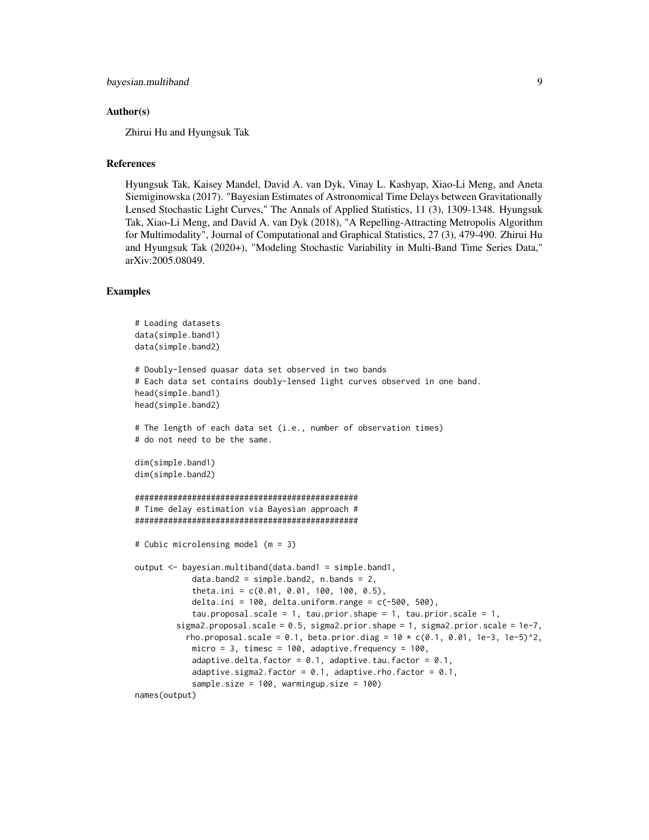#### Author(s)

Zhirui Hu and Hyungsuk Tak

#### References

Hyungsuk Tak, Kaisey Mandel, David A. van Dyk, Vinay L. Kashyap, Xiao-Li Meng, and Aneta Siemiginowska (2017). "Bayesian Estimates of Astronomical Time Delays between Gravitationally Lensed Stochastic Light Curves," The Annals of Applied Statistics, 11 (3), 1309-1348. Hyungsuk Tak, Xiao-Li Meng, and David A. van Dyk (2018), "A Repelling-Attracting Metropolis Algorithm for Multimodality", Journal of Computational and Graphical Statistics, 27 (3), 479-490. Zhirui Hu and Hyungsuk Tak (2020+), "Modeling Stochastic Variability in Multi-Band Time Series Data," arXiv:2005.08049.

#### **Examples**

```
# Loading datasets
data(simple.band1)
data(simple.band2)
# Doubly-lensed quasar data set observed in two bands
# Each data set contains doubly-lensed light curves observed in one band.
head(simple.band1)
head(simple.band2)
# The length of each data set (i.e., number of observation times)
# do not need to be the same.
dim(simple.band1)
dim(simple.band2)
###############################################
# Time delay estimation via Bayesian approach #
###############################################
# Cubic microlensing model (m = 3)
output <- bayesian.multiband(data.band1 = simple.band1,
            data-band2 = simple-band2, n.bands = 2,theta.ini = c(0.01, 0.01, 100, 100, 0.5),
            delta.ini = 100, delta.uniform.range = c(-500, 500),
            tau.proposal.scale = 1, tau.prior.shape = 1, tau.prior.scale = 1,
         sigma2.proposal.scale = 0.5, sigma2.prior.shape = 1, sigma2.prior.scale = 1e-7,
           rho.proposal.scale = 0.1, beta.prior.diag = 10 \times c(0.1, 0.01, 1e-3, 1e-5)^2.
            micro = 3, timesc = 100, adaptive. frequency = 100,
            adaptive.delta.factor = 0.1, adaptive.tau.factor = 0.1,
            adaptive.sigma2.factor = 0.1, adaptive.rho.factor = 0.1,
            sample.size = 100, warmingup.size = 100)
names(output)
```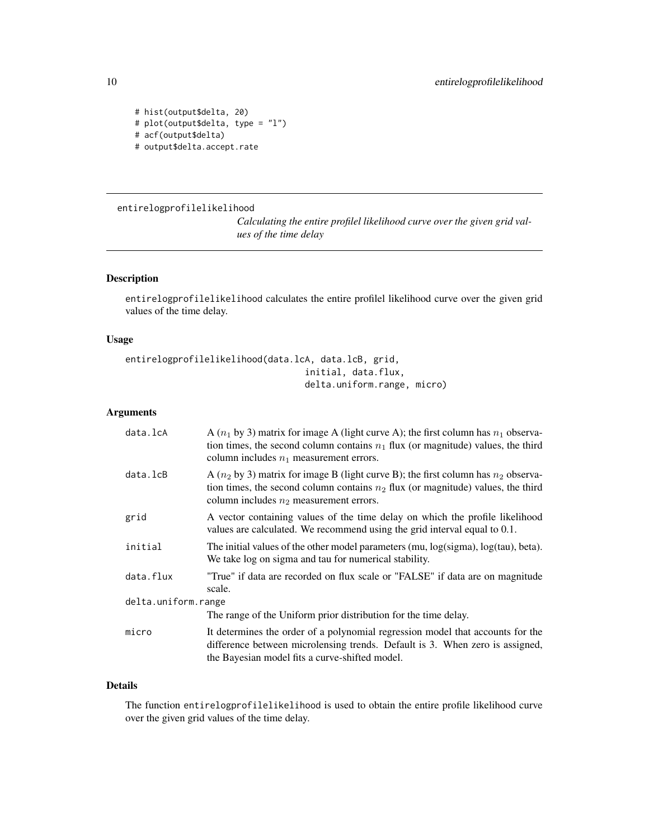```
# hist(output$delta, 20)
# plot(output$delta, type = "l")
# acf(output$delta)
# output$delta.accept.rate
```
#### <span id="page-9-1"></span>entirelogprofilelikelihood

*Calculating the entire profilel likelihood curve over the given grid values of the time delay*

#### Description

entirelogprofilelikelihood calculates the entire profilel likelihood curve over the given grid values of the time delay.

#### Usage

```
entirelogprofilelikelihood(data.lcA, data.lcB, grid,
                                  initial, data.flux,
                                  delta.uniform.range, micro)
```
#### Arguments

| data.lcA            | A $(n_1$ by 3) matrix for image A (light curve A); the first column has $n_1$ observa-<br>tion times, the second column contains $n_1$ flux (or magnitude) values, the third<br>column includes $n_1$ measurement errors. |
|---------------------|---------------------------------------------------------------------------------------------------------------------------------------------------------------------------------------------------------------------------|
| data.lcB            | A $(n_2$ by 3) matrix for image B (light curve B); the first column has $n_2$ observa-<br>tion times, the second column contains $n_2$ flux (or magnitude) values, the third<br>column includes $n_2$ measurement errors. |
| grid                | A vector containing values of the time delay on which the profile likelihood<br>values are calculated. We recommend using the grid interval equal to 0.1.                                                                 |
| initial             | The initial values of the other model parameters (mu, log(sigma), log(tau), beta).<br>We take log on sigma and tau for numerical stability.                                                                               |
| data.flux           | "True" if data are recorded on flux scale or "FALSE" if data are on magnitude<br>scale.                                                                                                                                   |
| delta.uniform.range |                                                                                                                                                                                                                           |
|                     | The range of the Uniform prior distribution for the time delay.                                                                                                                                                           |
| micro               | It determines the order of a polynomial regression model that accounts for the<br>difference between microlensing trends. Default is 3. When zero is assigned,<br>the Bayesian model fits a curve-shifted model.          |

#### Details

The function entirelogprofilelikelihood is used to obtain the entire profile likelihood curve over the given grid values of the time delay.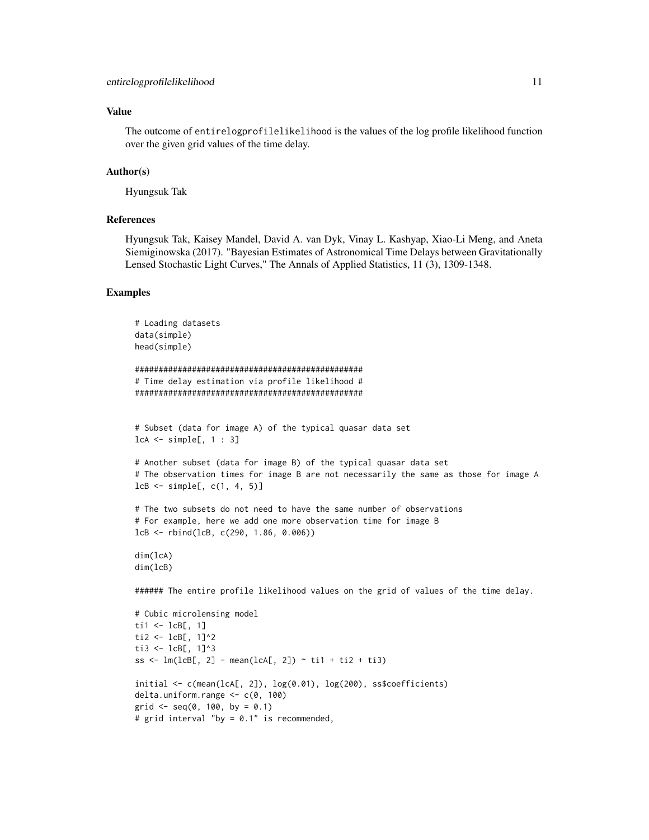#### Value

The outcome of entirelogprofilelikelihood is the values of the log profile likelihood function over the given grid values of the time delay.

#### Author(s)

Hyungsuk Tak

#### References

Hyungsuk Tak, Kaisey Mandel, David A. van Dyk, Vinay L. Kashyap, Xiao-Li Meng, and Aneta Siemiginowska (2017). "Bayesian Estimates of Astronomical Time Delays between Gravitationally Lensed Stochastic Light Curves," The Annals of Applied Statistics, 11 (3), 1309-1348.

#### Examples

```
# Loading datasets
data(simple)
head(simple)
################################################
# Time delay estimation via profile likelihood #
################################################
# Subset (data for image A) of the typical quasar data set
lcA \leq - simple[, 1 : 3]# Another subset (data for image B) of the typical quasar data set
# The observation times for image B are not necessarily the same as those for image A
lcB \leq - simple[, c(1, 4, 5)]
# The two subsets do not need to have the same number of observations
# For example, here we add one more observation time for image B
lcB <- rbind(lcB, c(290, 1.86, 0.006))
dim(lcA)
dim(lcB)
###### The entire profile likelihood values on the grid of values of the time delay.
# Cubic microlensing model
ti1 \leftarrow lcB[, 1]
ti2 <- lcB[, 1]^{2}ti3 <- lcB[, 1]^{3}ss \leq lm(lcB[, 2] - mean(lcA[, 2]) \sim ti1 + ti2 + ti3)
initial \leq c(mean(lcA[, 2]), \log(0.01), \log(200), ss$coefficients)
delta.uniform.range <- c(0, 100)
grid \leq - seq(0, 100, by = 0.1)
```

```
# grid interval "by = 0.1" is recommended,
```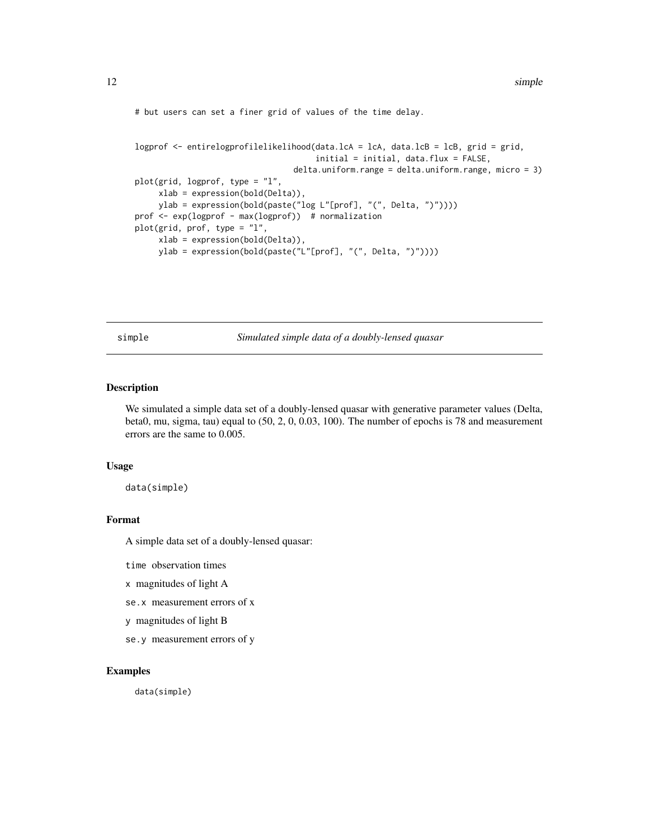<span id="page-11-0"></span># but users can set a finer grid of values of the time delay.

```
logprof <- entirelogprofilelikelihood(data.lcA = lcA, data.lcB = lcB, grid = grid,
                                      initial = initial, data.flux = FALSE,
                                 delta.uniform.range = delta.uniform.range, micro = 3)
plot(grid, logprof, type = "l",
     xlab = expression(bold(Delta)),
     ylab = expression(bold(paste("log L"[prof], "(", Delta, ")"))))
prof <- exp(logprof - max(logprof)) # normalization
plot(grid, prof, type = "l",
     xlab = expression(bold(Delta)),
     ylab = expression(bold(paste("L"[prof], "(", Delta, ")"))))
```
simple *Simulated simple data of a doubly-lensed quasar*

#### Description

We simulated a simple data set of a doubly-lensed quasar with generative parameter values (Delta, beta0, mu, sigma, tau) equal to (50, 2, 0, 0.03, 100). The number of epochs is 78 and measurement errors are the same to 0.005.

#### Usage

data(simple)

#### Format

A simple data set of a doubly-lensed quasar:

time observation times

x magnitudes of light A

se.x measurement errors of x

y magnitudes of light B

se.y measurement errors of y

#### Examples

data(simple)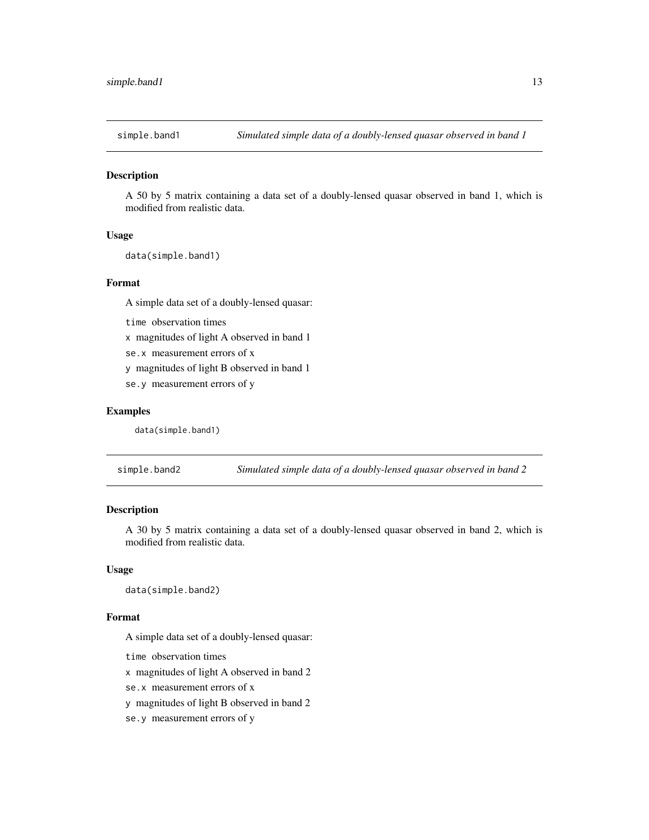<span id="page-12-0"></span>

#### Description

A 50 by 5 matrix containing a data set of a doubly-lensed quasar observed in band 1, which is modified from realistic data.

#### Usage

data(simple.band1)

#### Format

A simple data set of a doubly-lensed quasar:

time observation times

x magnitudes of light A observed in band 1

se.x measurement errors of x

y magnitudes of light B observed in band 1

se.y measurement errors of y

#### Examples

data(simple.band1)

simple.band2 *Simulated simple data of a doubly-lensed quasar observed in band 2*

#### Description

A 30 by 5 matrix containing a data set of a doubly-lensed quasar observed in band 2, which is modified from realistic data.

#### Usage

data(simple.band2)

#### Format

A simple data set of a doubly-lensed quasar:

time observation times

x magnitudes of light A observed in band 2

se.x measurement errors of x

y magnitudes of light B observed in band 2

se.y measurement errors of y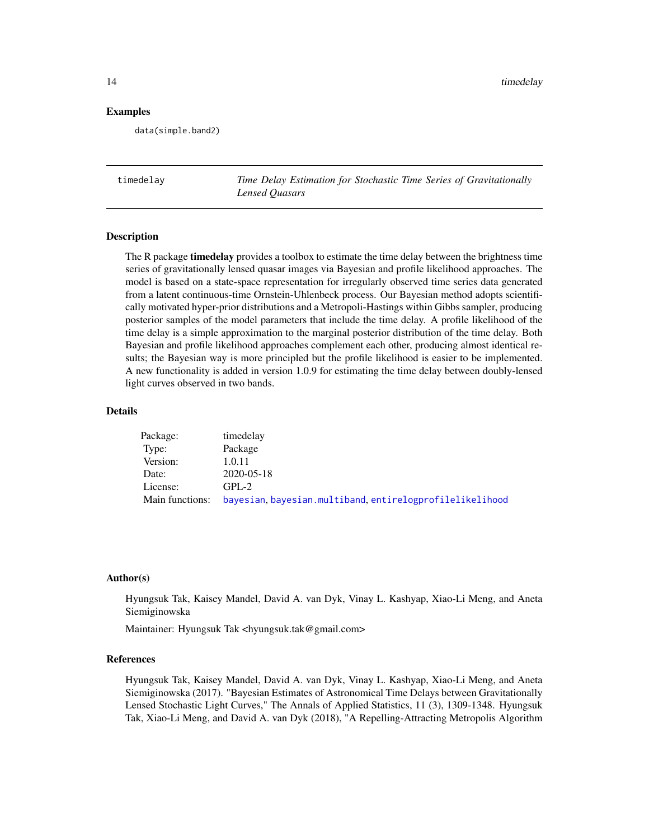#### <span id="page-13-0"></span>Examples

data(simple.band2)

timedelay *Time Delay Estimation for Stochastic Time Series of Gravitationally Lensed Quasars*

#### Description

The R package **timedelay** provides a toolbox to estimate the time delay between the brightness time series of gravitationally lensed quasar images via Bayesian and profile likelihood approaches. The model is based on a state-space representation for irregularly observed time series data generated from a latent continuous-time Ornstein-Uhlenbeck process. Our Bayesian method adopts scientifically motivated hyper-prior distributions and a Metropoli-Hastings within Gibbs sampler, producing posterior samples of the model parameters that include the time delay. A profile likelihood of the time delay is a simple approximation to the marginal posterior distribution of the time delay. Both Bayesian and profile likelihood approaches complement each other, producing almost identical results; the Bayesian way is more principled but the profile likelihood is easier to be implemented. A new functionality is added in version 1.0.9 for estimating the time delay between doubly-lensed light curves observed in two bands.

#### Details

| Package:        | timedelay                                               |
|-----------------|---------------------------------------------------------|
| Type:           | Package                                                 |
| Version:        | 1.0.11                                                  |
| Date:           | 2020-05-18                                              |
| License:        | $GPL-2$                                                 |
| Main functions: | bayesian, bayesian.multiband.entirelogprofilelikelihood |

#### Author(s)

Hyungsuk Tak, Kaisey Mandel, David A. van Dyk, Vinay L. Kashyap, Xiao-Li Meng, and Aneta Siemiginowska

Maintainer: Hyungsuk Tak <hyungsuk.tak@gmail.com>

#### References

Hyungsuk Tak, Kaisey Mandel, David A. van Dyk, Vinay L. Kashyap, Xiao-Li Meng, and Aneta Siemiginowska (2017). "Bayesian Estimates of Astronomical Time Delays between Gravitationally Lensed Stochastic Light Curves," The Annals of Applied Statistics, 11 (3), 1309-1348. Hyungsuk Tak, Xiao-Li Meng, and David A. van Dyk (2018), "A Repelling-Attracting Metropolis Algorithm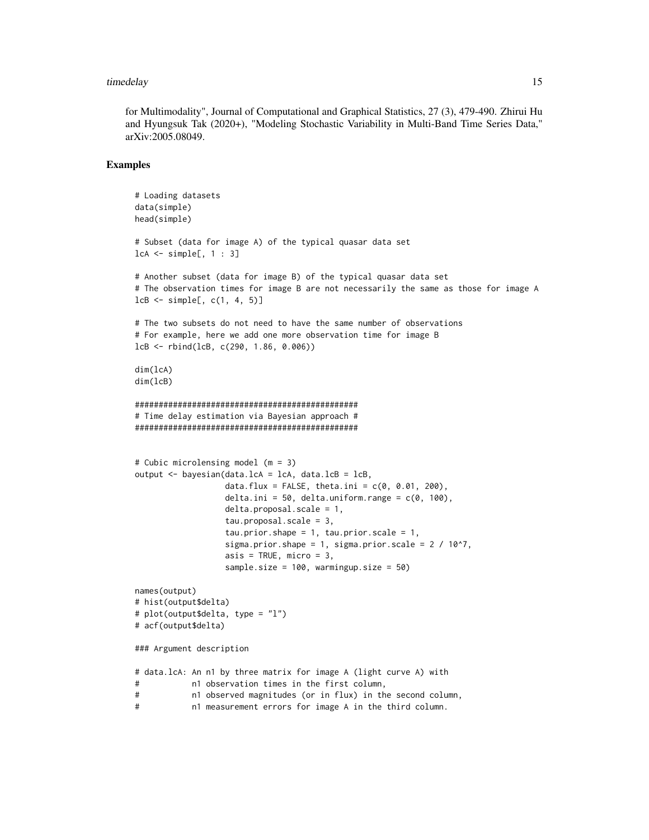#### timedelay and the state of the state of the state of the state of the state of the state of the state of the state of the state of the state of the state of the state of the state of the state of the state of the state of

for Multimodality", Journal of Computational and Graphical Statistics, 27 (3), 479-490. Zhirui Hu and Hyungsuk Tak (2020+), "Modeling Stochastic Variability in Multi-Band Time Series Data," arXiv:2005.08049.

#### Examples

```
# Loading datasets
data(simple)
head(simple)
# Subset (data for image A) of the typical quasar data set
lcA <- simple[, 1 : 3]
# Another subset (data for image B) of the typical quasar data set
# The observation times for image B are not necessarily the same as those for image A
lcB \leq - simple[, c(1, 4, 5)]
# The two subsets do not need to have the same number of observations
# For example, here we add one more observation time for image B
lcB <- rbind(lcB, c(290, 1.86, 0.006))
dim(lcA)
dim(lcB)
###############################################
# Time delay estimation via Bayesian approach #
###############################################
# Cubic microlensing model (m = 3)
output <- bayesian(data.lcA = lcA, data.lcB = lcB,
                  data.flux = FALSE, theta.ini = c(0, 0.01, 200),
                   delta.ini = 50, delta.uniform.range = c(0, 100),
                  delta.proposal.scale = 1,
                  tau.proposal.scale = 3,
                   tau.prior.shape = 1, tau.prior.scale = 1,
                  sigma.prior.shape = 1, sigma.prior.scale = 2 / 10^2,
                  asis = TRUE, micro = 3,
                  sample.size = 100, warmingup.size = 50)
names(output)
# hist(output$delta)
# plot(output$delta, type = "l")
# acf(output$delta)
### Argument description
# data.lcA: An n1 by three matrix for image A (light curve A) with
# n1 observation times in the first column,
# n1 observed magnitudes (or in flux) in the second column,
# n1 measurement errors for image A in the third column.
```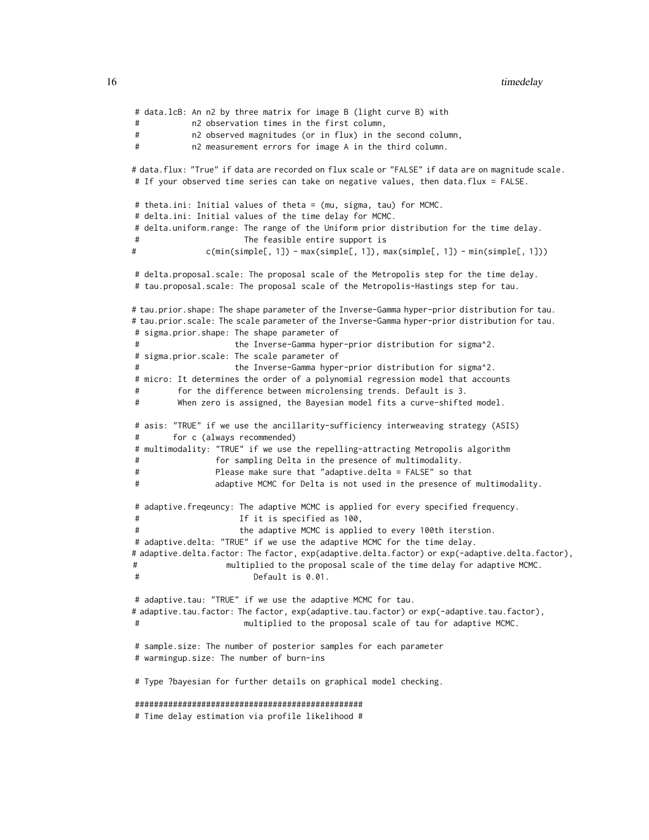```
# data.lcB: An n2 by three matrix for image B (light curve B) with
# n2 observation times in the first column,
# n2 observed magnitudes (or in flux) in the second column,
# n2 measurement errors for image A in the third column.
# data.flux: "True" if data are recorded on flux scale or "FALSE" if data are on magnitude scale.
# If your observed time series can take on negative values, then data.flux = FALSE.
# theta.ini: Initial values of theta = (mu, sigma, tau) for MCMC.
# delta.ini: Initial values of the time delay for MCMC.
# delta.uniform.range: The range of the Uniform prior distribution for the time delay.
                      The feasible entire support is
# c(min(simple[, 1]) - max(simple[, 1]), max(simple[, 1]) - min(simple[, 1]))
# delta.proposal.scale: The proposal scale of the Metropolis step for the time delay.
# tau.proposal.scale: The proposal scale of the Metropolis-Hastings step for tau.
# tau.prior.shape: The shape parameter of the Inverse-Gamma hyper-prior distribution for tau.
# tau.prior.scale: The scale parameter of the Inverse-Gamma hyper-prior distribution for tau.
# sigma.prior.shape: The shape parameter of
                    the Inverse-Gamma hyper-prior distribution for sigma^2.
# sigma.prior.scale: The scale parameter of
# the Inverse-Gamma hyper-prior distribution for sigma^2.
# micro: It determines the order of a polynomial regression model that accounts
# for the difference between microlensing trends. Default is 3.
# When zero is assigned, the Bayesian model fits a curve-shifted model.
# asis: "TRUE" if we use the ancillarity-sufficiency interweaving strategy (ASIS)
# for c (always recommended)
# multimodality: "TRUE" if we use the repelling-attracting Metropolis algorithm
# for sampling Delta in the presence of multimodality.
# Please make sure that "adaptive.delta = FALSE" so that
# adaptive MCMC for Delta is not used in the presence of multimodality.
# adaptive.freqeuncy: The adaptive MCMC is applied for every specified frequency.
# If it is specified as 100,
                     the adaptive MCMC is applied to every 100th iterstion.
# adaptive.delta: "TRUE" if we use the adaptive MCMC for the time delay.
# adaptive.delta.factor: The factor, exp(adaptive.delta.factor) or exp(-adaptive.delta.factor),
# multiplied to the proposal scale of the time delay for adaptive MCMC.
                        Default is 0.01.
# adaptive.tau: "TRUE" if we use the adaptive MCMC for tau.
# adaptive.tau.factor: The factor, exp(adaptive.tau.factor) or exp(-adaptive.tau.factor),
# multiplied to the proposal scale of tau for adaptive MCMC.
# sample.size: The number of posterior samples for each parameter
# warmingup.size: The number of burn-ins
# Type ?bayesian for further details on graphical model checking.
################################################
# Time delay estimation via profile likelihood #
```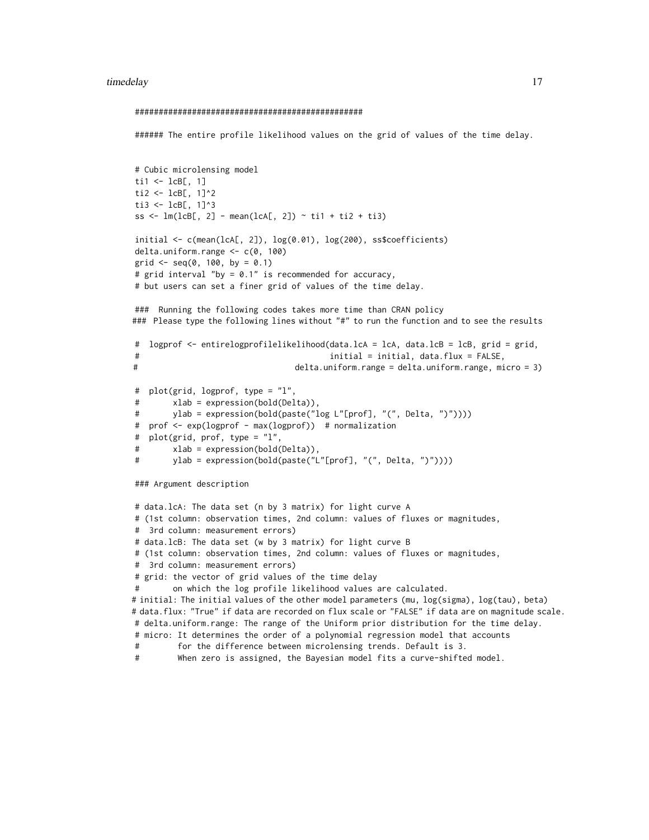#### timedelay and the state of the state of the state of the state of the state of the state of the state of the state of the state of the state of the state of the state of the state of the state of the state of the state of

```
################################################
###### The entire profile likelihood values on the grid of values of the time delay.
# Cubic microlensing model
ti1 \leftarrow lcB[, 1]ti2 <- lcB[, 1]^2
ti3 <- lcB[, 1]^3
ss <- lm(lcB[, 2] - mean(lcA[, 2]) - til + ti2 + ti3)initial <- c(mean(lcA[, 2]), log(0.01), log(200), ss$coefficients)
delta.uniform.range <- c(0, 100)
grid \leq -seq(0, 100, by = 0.1)# grid interval "by = 0.1" is recommended for accuracy,
# but users can set a finer grid of values of the time delay.
### Running the following codes takes more time than CRAN policy
### Please type the following lines without "#" to run the function and to see the results
# logprof <- entirelogprofilelikelihood(data.lcA = lcA, data.lcB = lcB, grid = grid,
# initial = initial, data.flux = FALSE,
# delta.uniform.range = delta.uniform.range, micro = 3)
# plot(grid, logprof, type = "l",
# xlab = expression(bold(Delta)),
# ylab = expression(bold(paste("log L"[prof], "(", Delta, ")"))))
# prof <- exp(logprof - max(logprof)) # normalization
# plot(grid, prof, type = "l",
# xlab = expression(bold(Delta)),
# ylab = expression(bold(paste("L"[prof], "(", Delta, ")"))))
### Argument description
# data.lcA: The data set (n by 3 matrix) for light curve A
# (1st column: observation times, 2nd column: values of fluxes or magnitudes,
# 3rd column: measurement errors)
# data.lcB: The data set (w by 3 matrix) for light curve B
# (1st column: observation times, 2nd column: values of fluxes or magnitudes,
# 3rd column: measurement errors)
# grid: the vector of grid values of the time delay
# on which the log profile likelihood values are calculated.
# initial: The initial values of the other model parameters (mu, log(sigma), log(tau), beta)
# data.flux: "True" if data are recorded on flux scale or "FALSE" if data are on magnitude scale.
# delta.uniform.range: The range of the Uniform prior distribution for the time delay.
# micro: It determines the order of a polynomial regression model that accounts
# for the difference between microlensing trends. Default is 3.
# When zero is assigned, the Bayesian model fits a curve-shifted model.
```